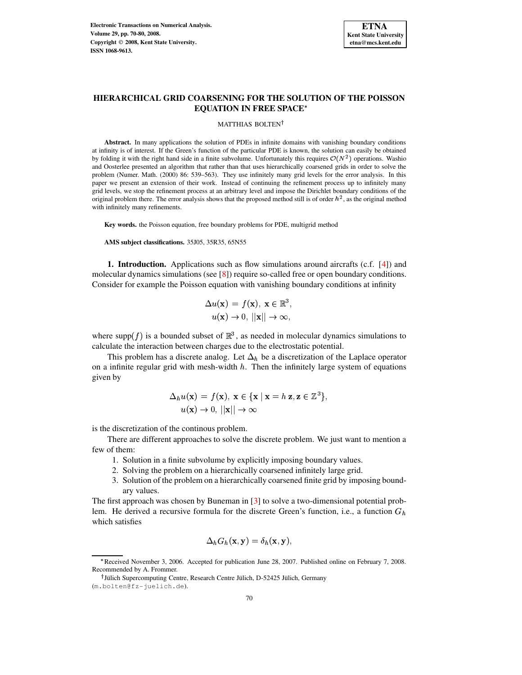

# **HIERARCHICAL GRID COARSENING FOR THE SOLUTION OF THE POISSON EQUATION IN FREE SPACE**

### MATTHIAS BOLTEN

**Abstract.** In many applications the solution of PDEs in infinite domains with vanishing boundary conditions at infinity is of interest. If the Green's function of the particular PDE is known, the solution can easily be obtained by folding it with the right hand side in a finite subvolume. Unfortunately this requires  $\mathcal{O}(N^2)$  operations. Washio and Oosterlee presented an algorithm that rather than that uses hierarchically coarsened grids in order to solve the problem (Numer. Math. (2000) 86: 539–563). They use infinitely many grid levels for the error analysis. In this paper we present an extension of their work. Instead of continuing the refinement process up to infinitely many grid levels, we stop the refinement process at an arbitrary level and impose the Dirichlet boundary conditions of the original problem there. The error analysis shows that the proposed method still is of order  $h^2$ , as the original method with infinitely many refinements.

**Key words.** the Poisson equation, free boundary problems for PDE, multigrid method

**AMS subject classifications.** 35J05, 35R35, 65N55

**1. Introduction.** Applications such as flow simulations around aircrafts (c.f. [\[4\]](#page-10-0)) and molecular dynamics simulations (see [\[8\]](#page-10-1)) require so-called free or open boundary conditions. Consider for example the Poisson equation with vanishing boundary conditions at infinity

$$
\Delta u(\mathbf{x}) = f(\mathbf{x}), \ \mathbf{x} \in \mathbb{R}^3, u(\mathbf{x}) \to 0, \ ||\mathbf{x}|| \to \infty,
$$

where supp(f) is a bounded subset of  $\mathbb{R}^3$ , as needed in molecular dynamics simulations to calculate the interaction between charges due to the electrostatic potential.

This problem has a discrete analog. Let  $\Delta_h$  be a discretization of the Laplace operator on a infinite regular grid with mesh-width  $h$ . Then the infinitely large system of equations given by

$$
\Delta_h u(\mathbf{x}) = f(\mathbf{x}), \mathbf{x} \in {\mathbf{x} \mid \mathbf{x} = h \mathbf{z}, \mathbf{z} \in \mathbb{Z}^3},
$$
  
 
$$
u(\mathbf{x}) \to 0, ||\mathbf{x}|| \to \infty
$$

is the discretization of the continous problem.

There are different approaches to solve the discrete problem. We just want to mention a few of them:

- 1. Solution in a finite subvolume by explicitly imposing boundary values.
- 2. Solving the problem on a hierarchically coarsened infinitely large grid.
- 3. Solution of the problem on a hierarchically coarsened finite grid by imposing boundary values.

The first approach was chosen by Buneman in [\[3\]](#page-10-2) to solve a two-dimensional potential problem. He derived a recursive formula for the discrete Green's function, i.e., a function  $G_h$ which satisfies

$$
\Delta_h G_h(\mathbf{x}, \mathbf{y}) = \delta_h(\mathbf{x}, \mathbf{y}),
$$

<sup>L</sup> Received November 3, 2006. Accepted for publication June 28, 2007. Published online on February 7, 2008. Recommended by A. Frommer.

<sup>&</sup>lt;sup>†</sup> Jülich Supercomputing Centre, Research Centre Jülich, D-52425 Jülich, Germany

<sup>(</sup>m.bolten@fz-juelich.de).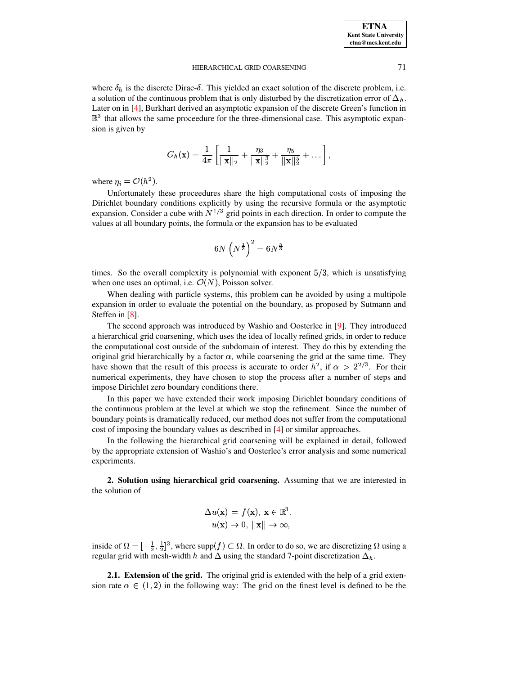where  $\delta_h$  is the discrete Dirac- $\delta$ . This yielded an exact solution of the discrete problem, i.e. a solution of the continuous problem that is only disturbed by the discretization error of  $\Delta_h$ . Later on in [\[4\]](#page-10-0), Burkhart derived an asymptotic expansion of the discrete Green's function in  $\mathbb{R}^3$  that allows the same proceedure for the three-dimensional case. This asymptotic expansion is given by

$$
G_h(\mathbf{x}) = \frac{1}{4\pi} \left[ \frac{1}{||\mathbf{x}||_2} + \frac{\eta_3}{||\mathbf{x}||_2^3} + \frac{\eta_5}{||\mathbf{x}||_2^5} + \dots \right],
$$

where  $\eta_i = \mathcal{O}(h^2)$ .

Unfortunately these proceedures share the high computational costs of imposing the Dirichlet boundary conditions explicitly by using the recursive formula or the asymptotic expansion. Consider a cube with  $N^{1/3}$  grid points in each direction. In order to compute the values at all boundary points, the formula or the expansion has to be evaluated

$$
6N\left(N^{\frac{1}{3}}\right)^2=6N^{\frac{5}{3}}
$$

times. So the overall complexity is polynomial with exponent  $5/3$ , which is unsatisfying when one uses an optimal, i.e.  $\mathcal{O}(N)$ , Poisson solver.

When dealing with particle systems, this problem can be avoided by using a multipole expansion in order to evaluate the potential on the boundary, as proposed by Sutmann and Steffen in [\[8\]](#page-10-1).

The second approach was introduced by Washio and Oosterlee in [\[9\]](#page-10-3). They introduced a hierarchical grid coarsening, which uses the idea of locally refined grids, in order to reduce the computational cost outside of the subdomain of interest. They do this by extending the original grid hierarchically by a factor  $\alpha$ , while coarsening the grid at the same time. They have shown that the result of this process is accurate to order  $h^2$ , if  $\alpha > 2^{2/3}$ . For their numerical experiments, they have chosen to stop the process after a number of steps and impose Dirichlet zero boundary conditions there.

In this paper we have extended their work imposing Dirichlet boundary conditions of the continuous problem at the level at which we stop the refinement. Since the number of boundary points is dramatically reduced, our method does not suffer from the computational cost of imposing the boundary values as described in [\[4\]](#page-10-0) or similar approaches.

In the following the hierarchical grid coarsening will be explained in detail, followed by the appropriate extension of Washio's and Oosterlee's error analysis and some numerical experiments.

**2. Solution using hierarchical grid coarsening.** Assuming that we are interested in the solution of

$$
\Delta u(\mathbf{x}) = f(\mathbf{x}), \ \mathbf{x} \in \mathbb{R}^3, \\ u(\mathbf{x}) \to 0, \ ||\mathbf{x}|| \to \infty,
$$

inside of  $\Omega = \left[-\frac{1}{2}, \frac{1}{2}\right]^3$ , where supp $(f) \subset \Omega$ . In order to do so, we are discretizing  $\Omega$  using a regular grid with mesh-width h and  $\Delta$  using the standard 7-point discretization  $\Delta_h$ .

**2.1. Extension of the grid.** The original grid is extended with the help of a grid extension rate  $\alpha \in (1,2)$  in the following way: The grid on the finest level is defined to be the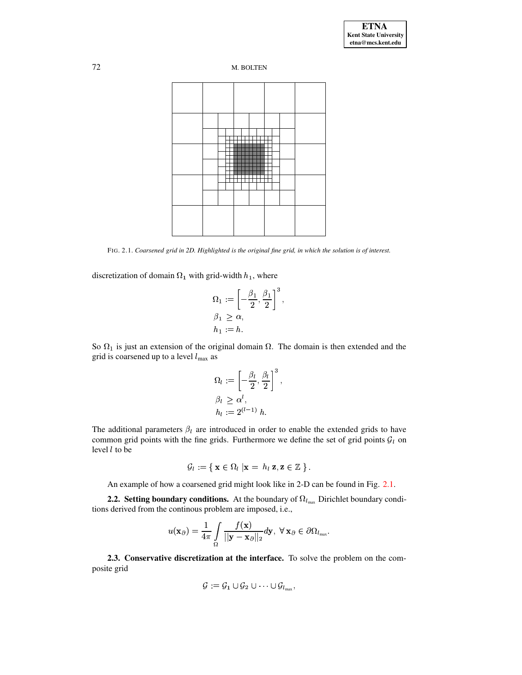

FIG. 2.1. Coarsened grid in 2D. Highlighted is the original fine grid, in which the solution is of interest.

discretization of domain  $\Omega_1$  with grid-width  $h_1$ , where

$$
\Omega_1 := \left[ -\frac{\beta_1}{2}, \frac{\beta_1}{2} \right]^3,
$$
  
\n
$$
\beta_1 \ge \alpha,
$$
  
\n
$$
h_1 := h.
$$

So  $\Omega_1$  is just an extension of the original domain  $\Omega$ . The domain is then extended and the grid is coarsened up to a level  $l_{\text{max}}$  as

$$
\Omega_l := \left[ -\frac{\beta_l}{2}, \frac{\beta_l}{2} \right]^3,
$$
  
\n
$$
\beta_l \geq \alpha^l,
$$
  
\n
$$
h_l := 2^{(l-1)} h.
$$

The additional parameters  $\beta_l$  are introduced in order to enable the extended grids to have common grid points with the fine grids. Furthermore we define the set of grid points  $\mathcal{G}_l$  on level  $l$  to be

$$
\mathcal{G}_l := \{ \mathbf{x} \in \Omega_l \mid \mathbf{x} = h_l \mathbf{z}, \mathbf{z} \in \mathbb{Z} \}.
$$

An example of how a coarsened grid might look like in 2-D can be found in Fig. [2.1.](#page-7-0)

**2.2. Setting boundary conditions.** At the boundary of  $\Omega_{l_{\text{max}}}$  Dirichlet boundary conditions derived from the continous problem are imposed, i.e.,

$$
u(\mathbf{x}_{\partial})=\frac{1}{4\pi}\int\limits_{\Omega}\frac{f(\mathbf{x})}{||\mathbf{y}-\mathbf{x}_{\partial}||_2}d\mathbf{y}, \ \forall \ \mathbf{x}_{\partial}\in\partial\Omega_{l_{\max}}.
$$

**2.3. Conservative discretization at the interface.** To solve the problem on the composite grid

$$
\mathcal{G}:=\mathcal{G}_1\cup\mathcal{G}_2\cup\cdots\cup\mathcal{G}_{l_{\max}},
$$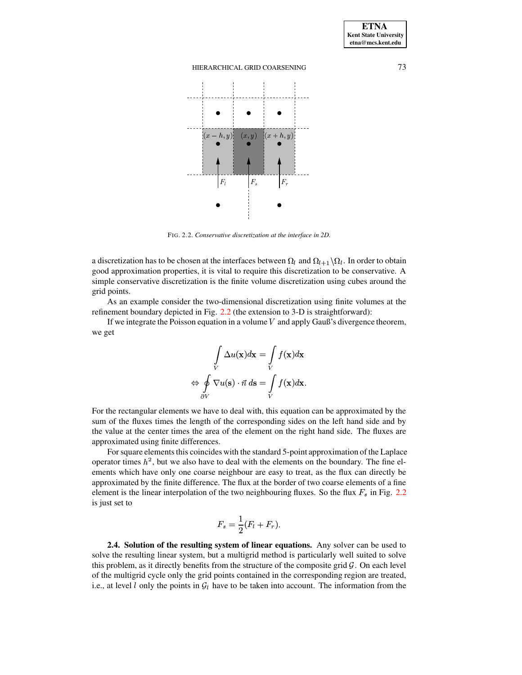

FIG. 2.2. *Conservative discretization at the interface in 2D.*

a discretization has to be chosen at the interfaces between  $\Omega_l$  and  $\Omega_{l+1} \backslash \Omega_l$ . In order to obtain good approximation properties, it is vital to require this discretization to be conservative. A simple conservative discretization is the finite volume discretization using cubes around the grid points.

As an example consider the two-dimensional discretization using finite volumes at the refinement boundary depicted in Fig. [2.2](#page-9-0) (the extension to 3-D is straightforward):

If we integrate the Poisson equation in a volume  $V$  and apply Gauß's divergence theorem, we get

$$
\int\limits_V \Delta u(\mathbf{x}) d\mathbf{x} = \int\limits_V f(\mathbf{x}) d\mathbf{x}
$$
\n
$$
\Leftrightarrow \oint\limits_{\partial V} \nabla u(\mathbf{s}) \cdot \vec{n} d\mathbf{s} = \int\limits_V f(\mathbf{x}) d\mathbf{x}.
$$

For the rectangular elements we have to deal with, this equation can be approximated by the sum of the fluxes times the length of the corresponding sides on the left hand side and by the value at the center times the area of the element on the right hand side. The fluxes are approximated using finite differences.

For square elements this coincides with the standard 5-point approximation of the Laplace operator times  $h^2$ , but we also have to deal with the elements on the boundary. The fine elements which have only one coarse neighbour are easy to treat, as the flux can directly be approximated by the finite difference. The flux at the border of two coarse elements of a fine element is the linear interpolation of the two neighbouring fluxes. So the flux  $F_s$  in Fig. [2.2](#page-9-0) is just set to

$$
F_s = \frac{1}{2}(F_l + F_r).
$$

**2.4. Solution of the resulting system of linear equations.** Any solver can be used to solve the resulting linear system, but a multigrid method is particularly well suited to solve this problem, as it directly benefits from the structure of the composite grid  $\mathcal G$ . On each level of the multigrid cycle only the grid points contained in the corresponding region are treated, i.e., at level  $l$  only the points in  $\mathcal{G}_l$  have to be taken into account. The information from the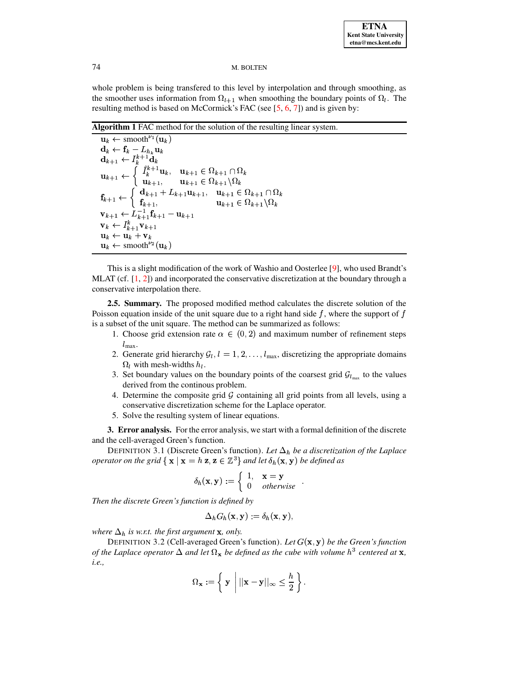whole problem is being transfered to this level by interpolation and through smoothing, as the smoother uses information from  $\Omega_{l+1}$  when smoothing the boundary points of  $\Omega_l$ . The resulting method is based on McCormick's FAC (see [\[5,](#page-10-4) [6,](#page-10-5) [7\]](#page-10-6)) and is given by:

**Algorithm 1** FAC method for the solution of the resulting linear system.

 $\mathbf{u}_k \leftarrow \text{smooth}^{\nu_1}(\mathbf{u}_k)$  $\mathbf{d}_k \leftarrow \mathbf{f}_k - L_{h_k} \mathbf{u}_k$  $\mathbf{d}_{k+1} \leftarrow I_{k}^{\kappa+1} \mathbf{d}_{k}$  $a_1 \leftarrow I_k^{k+1} \mathbf{d}_k$  $\mathbf{u}_{k+1} \leftarrow \left\{ \begin{array}{ll} \hat{I}_k^{k+1} \mathbf{u}_k, & \mathbf{u}_{k+1} \in \Omega_{k+1} \cap \Omega_k \ \mathbf{u}_{k+1}, & \mathbf{u}_{k+1} \in \Omega_{k+1} \backslash \Omega_k \end{array} \right.$  $\mathbf{u}_{k+1} \in \Omega_{k+1} \backslash \Omega_k$  $\mathbf{f}_{k+1} \leftarrow \begin{cases} \mathbf{d}_{k+1} + L_{k+1} \mathbf{u}_{k+1}, & \mathbf{u}_{k+1} \in \mathbb{R} \\ \mathbf{f}_{k+1} & \mathbf{u}_{k+1} \in \mathbb{R} \end{cases}$  $\mathbf{d}_{k+1} + L_{k+1}\mathbf{u}_{k+1}, \quad \mathbf{u}_{k+1} \in \Omega_{k+1} \cap \Omega_k \ \mathbf{f}_{k+1}, \qquad \mathbf{u}_{k+1} \in \Omega_{k+1} \backslash \Omega_k$  $\mathbf{u}_{k+1} \in \Omega_{k+1} \backslash \Omega_k$  $\mathbf{v}_{k+1} \leftarrow L_{k+1}^{-1} \mathbf{f}_{k+1} - \mathbf{u}_{k+1}$  $k+1$   $\mathbf{V}_{k+1}$  $\mathbf{u}_k \leftarrow \mathbf{u}_k + \mathbf{v}_k$  $\mathbf{u}_k \leftarrow \text{smooth}^{\nu_2}(\mathbf{u}_k)$ 

This is a slight modification of the work of Washio and Oosterlee [\[9\]](#page-10-3), who used Brandt's MLAT (cf. [\[1,](#page-10-7) [2\]](#page-10-8)) and incorporated the conservative discretization at the boundary through a conservative interpolation there.

**2.5. Summary.** The proposed modified method calculates the discrete solution of the Poisson equation inside of the unit square due to a right hand side  $f$ , where the support of  $f$ is a subset of the unit square. The method can be summarized as follows:

- 1. Choose grid extension rate  $\alpha \in (0,2)$  and maximum number of refinement steps  $l_{\max}$ .
- 2. Generate grid hierarchy  $G_l, l = 1, 2, \ldots, l_{\text{max}}$ , discretizing the appropriate domains  $\Omega_l$  with mesh-widths  $h_l$ .
- 3. Set boundary values on the boundary points of the coarsest grid  $\mathcal{G}_{l_{\text{max}}}$  to the values derived from the continous problem.
- 4. Determine the composite grid  $\mathcal G$  containing all grid points from all levels, using a conservative discretization scheme for the Laplace operator.
- 5. Solve the resulting system of linear equations.

**3. Error analysis.** For the error analysis, we start with a formal definition of the discrete and the cell-averaged Green's function.

DEFINITION 3.1 (Discrete Green's function). Let  $\Delta_h$  be a discretization of the Laplace *operator on the grid*  $\{ \mathbf{x} \mid \mathbf{x} = h \mathbf{z}, \mathbf{z} \in \mathbb{Z}^3 \}$  and let  $\delta_h(\mathbf{x}, \mathbf{y})$  be defined as

$$
\delta_h(\mathbf{x}, \mathbf{y}) := \begin{cases} 1, & \mathbf{x} = \mathbf{y} \\ 0 & otherwise \end{cases}.
$$

*Then the discrete Green's function is defined by*

$$
\Delta_h G_h(\mathbf{x}, \mathbf{y}) := \delta_h(\mathbf{x}, \mathbf{y})
$$

where  $\Delta_h$  is w.r.t. the first argument **x**, only.

DEFINITION 3.2 (Cell-averaged Green's function). Let  $G(\mathbf{x}, \mathbf{y})$  be the Green's function *of the Laplace operator*  $\Delta$  *and let*  $\Omega_{\mathbf{x}}$  *be defined as the cube with volume*  $h^3$  *centered at*  $\mathbf{x}$ *, i.e.,*

$$
\Omega_{\mathbf{x}} := \left\{ \ \mathbf{y} \ \left| \ |\mathbf{x} - \mathbf{y}| |_\infty \leq \frac{h}{2} \right. \right\}.
$$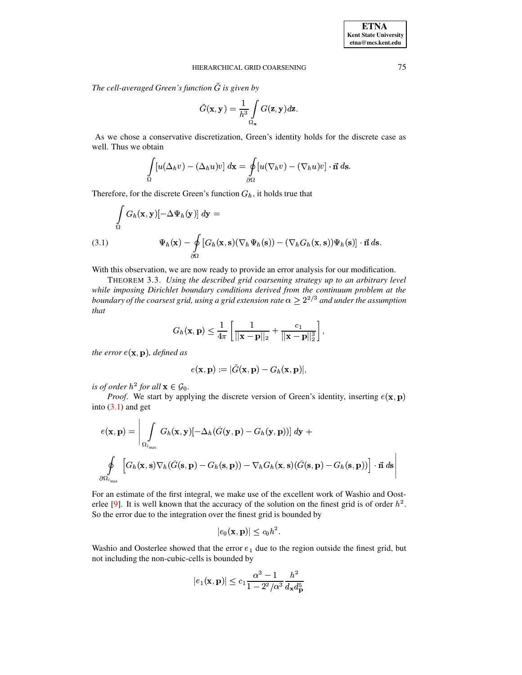The cell-averaged Green's function  $G$  is given by

$$
\tilde{G}(\mathbf{x}, \mathbf{y}) = \frac{1}{h^3} \int\limits_{\Omega_{\mathbf{x}}} G(\mathbf{z}, \mathbf{y}) d\mathbf{z}.
$$

As we chose a conservative discretization, Green's identity holds for the discrete case as well. Thus we obtain

$$
\int_{\Omega} [u(\Delta_h v) - (\Delta_h u)v] \, d\mathbf{x} = \oint_{\partial\Omega} [u(\nabla_h v) - (\nabla_h u)v] \cdot \vec{\mathbf{n}} \, ds.
$$

Therefore, for the discrete Green's function  $G_h$ , it holds true that

<span id="page-5-0"></span>
$$
\int_{\Omega} G_h(\mathbf{x}, \mathbf{y}) \left[ -\Delta \Psi_h(\mathbf{y}) \right] d\mathbf{y} =
$$
\n(3.1) 
$$
\Psi_h(\mathbf{x}) - \oint_{\partial \Omega} \left[ G_h(\mathbf{x}, \mathbf{s}) \left( \nabla_h \Psi_h(\mathbf{s}) \right) - \left( \nabla_h G_h(\mathbf{x}, \mathbf{s}) \right) \Psi_h(\mathbf{s}) \right] \cdot \vec{\mathbf{n}} \, d\mathbf{s}.
$$

With this observation, we are now ready to provide an error analysis for our modification.

THEOREM 3.3. Using the described grid coarsening strategy up to an arbitrary level while imposing Dirichlet boundary conditions derived from the continuum problem at the boundary of the coarsest grid, using a grid extension rate  $\alpha \geq 2^{2/3}$  and under the assumption that

$$
G_h(\mathbf{x},\mathbf{p}) \leq \frac{1}{4\pi} \left[ \frac{1}{||\mathbf{x}-\mathbf{p}||_2} + \frac{c_1}{||\mathbf{x}-\mathbf{p}||_2^3} \right],
$$

the error  $e(x, p)$ , defined as

$$
e(\mathbf{x},\mathbf{p}):=|G(\mathbf{x},\mathbf{p})-G_h(\mathbf{x},\mathbf{p})|,
$$

is of order  $h^2$  for all  $\mathbf{x} \in \mathcal{G}_0$ .

*Proof.* We start by applying the discrete version of Green's identity, inserting  $e(x, p)$ into  $(3.1)$  and get

$$
e(\mathbf{x}, \mathbf{p}) = \left| \int_{\Omega} G_h(\mathbf{x}, \mathbf{y}) \left[ -\Delta_h(\tilde{G}(\mathbf{y}, \mathbf{p}) - G_h(\mathbf{y}, \mathbf{p})) \right] d\mathbf{y} + \right|
$$
  

$$
\oint_{\partial \Omega_{l_{\text{max}}}} \left[ G_h(\mathbf{x}, \mathbf{s}) \nabla_h(\tilde{G}(\mathbf{s}, \mathbf{p}) - G_h(\mathbf{s}, \mathbf{p})) - \nabla_h G_h(\mathbf{x}, \mathbf{s}) (\tilde{G}(\mathbf{s}, \mathbf{p}) - G_h(\mathbf{s}, \mathbf{p})) \right] \cdot \vec{\mathbf{n}} d\mathbf{s} \right|
$$

For an estimate of the first integral, we make use of the excellent work of Washio and Oosterlee [9]. It is well known that the accuracy of the solution on the finest grid is of order  $h^2$ . So the error due to the integration over the finest grid is bounded by

$$
|e_0(\mathbf{x}, \mathbf{p})| \le c_0 h^2.
$$

Washio and Oosterlee showed that the error  $e_1$  due to the region outside the finest grid, but not including the non-cubic-cells is bounded by

$$
|e_1(\mathbf{x}, \mathbf{p})| \le c_1 \frac{\alpha^3 - 1}{1 - 2^2/\alpha^3} \frac{h^2}{d_{\mathbf{x}} d_{\mathbf{p}}^5}
$$

75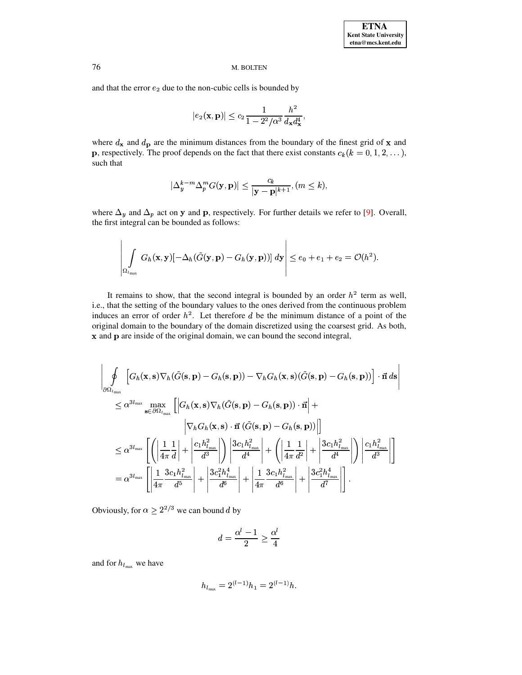and that the error  $e_2$  due to the non-cubic cells is bounded by

$$
|e_2(\mathbf{x}, \mathbf{p})| \leq c_2 \frac{1}{1 - 2^2/\alpha^3} \frac{h^2}{d_{\mathbf{x}} d_{\mathbf{x}}^4},
$$

where  $d_{\mathbf{x}}$  and  $d_{\mathbf{p}}$  are the minimum distances from the boundary of the finest grid of **x** and **p**, respectively. The proof depends on the fact that there exist constants  $c_k$  ( $k = 0, 1, 2, ...$ ), such that

$$
|\Delta_y^{k-m}\Delta_p^mG(\mathbf{y},\mathbf{p})|\leq \frac{c_k}{|\mathbf{y}-\mathbf{p}|^{k+1}},(m\leq k),
$$

where  $\Delta_y$  and  $\Delta_p$  act on y and p, respectively. For further details we refer to [9]. Overall, the first integral can be bounded as follows:

$$
\left|\int\limits_{\Omega_{l_{\max}}} G_h(\mathbf{x},\mathbf{y})[-\Delta_h(\tilde{G}(\mathbf{y},\mathbf{p})-G_h(\mathbf{y},\mathbf{p}))]\,d\mathbf{y}\right|\leq e_0+e_1+e_2=\mathcal{O}(h^2).
$$

It remains to show, that the second integral is bounded by an order  $h^2$  term as well, i.e., that the setting of the boundary values to the ones derived from the continuous problem induces an error of order  $h^2$ . Let therefore d be the minimum distance of a point of the original domain to the boundary of the domain discretized using the coarsest grid. As both, x and p are inside of the original domain, we can bound the second integral,

$$
\begin{split}\n&\left|\oint_{\partial\Omega_{l_{\text{max}}}}\left[G_{h}(\mathbf{x},\mathbf{s})\nabla_{h}(\tilde{G}(\mathbf{s},\mathbf{p})-G_{h}(\mathbf{s},\mathbf{p}))-\nabla_{h}G_{h}(\mathbf{x},\mathbf{s})(\tilde{G}(\mathbf{s},\mathbf{p})-G_{h}(\mathbf{s},\mathbf{p}))\right]\cdot\vec{\mathbf{n}}\,d\mathbf{s} \\
&\leq \alpha^{3l_{\text{max}}}\max_{\mathbf{s}\in\partial\Omega_{l_{\text{max}}}}\left[\left|G_{h}(\mathbf{x},\mathbf{s})\nabla_{h}(\tilde{G}(\mathbf{s},\mathbf{p})-G_{h}(\mathbf{s},\mathbf{p}))\cdot\vec{\mathbf{n}}\right|+\right. \\
&\left|\nabla_{h}G_{h}(\mathbf{x},\mathbf{s})\cdot\vec{\mathbf{n}}\left(\tilde{G}(\mathbf{s},\mathbf{p})-G_{h}(\mathbf{s},\mathbf{p}))\right|\right] \\
&\leq \alpha^{3l_{\text{max}}}\left[\left(\left|\frac{1}{4\pi}\frac{1}{d}\right|+\left|\frac{c_{1}h_{l_{\text{max}}}^{2}}{d^{3}}\right|\right)\left|\frac{3c_{1}h_{l_{\text{max}}}^{2}}{d^{4}}\right|+\left(\left|\frac{1}{4\pi}\frac{1}{d^{2}}\right|+\left|\frac{3c_{1}h_{l_{\text{max}}}^{2}}{d^{4}}\right|\right)\left|\frac{c_{1}h_{l_{\text{max}}}^{2}}{d^{3}}\right|\right]\right] \\
&=\alpha^{3l_{\text{max}}}\left[\left|\frac{1}{4\pi}\frac{3c_{1}h_{l_{\text{max}}}^{2}}{d^{5}}\right|+\left|\frac{3c_{1}^{2}h_{l_{\text{max}}}^{4}}{d^{6}}\right|+\left|\frac{1}{4\pi}\frac{3c_{1}h_{l_{\text{max}}}^{2}}{d^{6}}\right|+\left|\frac{3c_{1}^{2}h_{l_{\text{max}}}^{4}}{d^{7}}\right|\right].\n\end{split}
$$

Obviously, for  $\alpha \ge 2^{2/3}$  we can bound d by

$$
d = \frac{\alpha^l - 1}{2} \ge \frac{\alpha^l}{4}
$$

and for  $h_{l_{\text{max}}}$  we have

$$
h_{l_{\max}} = 2^{(l-1)}h_1 = 2^{(l-1)}h.
$$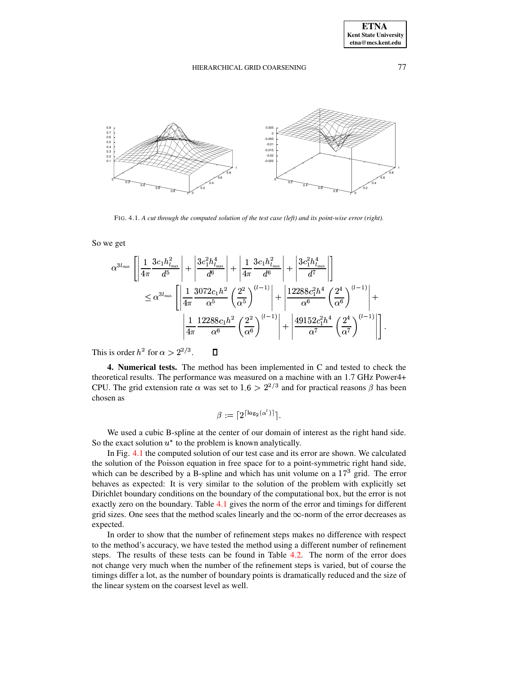$\sim$   $\sim$ 



FIG. 4.1. *A cut through the computed solution of the test case (left) and its point-wise error (right).*

<span id="page-7-0"></span>So we get

$$
\alpha^{3l_{\max}} \left[ \left| \frac{1}{4\pi} \frac{3c_1 h_{l_{\max}}^2}{d^5} \right| + \left| \frac{3c_1^2 h_{l_{\max}}^4}{d^6} \right| + \left| \frac{1}{4\pi} \frac{3c_1 h_{l_{\max}}^2}{d^6} \right| + \left| \frac{3c_1^2 h_{l_{\max}}^4}{d^7} \right| \right] \right] \n\leq \alpha^{3l_{\max}} \left[ \left| \frac{1}{4\pi} \frac{3072c_1 h^2}{\alpha^5} \left( \frac{2^2}{\alpha^5} \right)^{(l-1)} \right| + \left| \frac{12288c_1^2 h^4}{\alpha^6} \left( \frac{2^4}{\alpha^6} \right)^{(l-1)} \right| + \right. \left. \left| \frac{1}{4\pi} \frac{12288c_1 h^2}{\alpha^6} \left( \frac{2^2}{\alpha^6} \right)^{(l-1)} \right| + \left| \frac{49152c_1^2 h^4}{\alpha^7} \left( \frac{2^4}{\alpha^7} \right)^{(l-1)} \right| \right].
$$

This is order  $h^2$  for  $\alpha > 2^{2/3}$ .

**4. Numerical tests.** The method has been implemented in C and tested to check the theoretical results. The performance was measured on a machine with an 1.7 GHz Power4+ <sup>S</sup> CPU. The grid extension rate  $\alpha$  was set to  $1.6 > 2^{2/3}$  and for practical reasons  $\beta$  has been chosen as

$$
\beta := \lceil 2^{\lceil \log_2(\alpha^l) \rceil} \rceil.
$$

 $\sim$   $\sim$ 

We used a cubic B-spline at the center of our domain of interest as the right hand side. So the exact solution  $u^*$  to the problem is known analytically.

In Fig. [4.1](#page-7-0) the computed solution of our test case and its error are shown. We calculated the solution of the Poisson equation in free space for to a point-symmetric right hand side, which can be described by a B-spline and which has unit volume on a  $17<sup>3</sup>$  grid. The error behaves as expected: It is very similar to the solution of the problem with explicitly set Dirichlet boundary conditions on the boundary of the computational box, but the error is not exactly zero on the boundary. Table [4.1](#page-8-0) gives the norm of the error and timings for different grid sizes. One sees that the method scales linearly and the  $\infty$ -norm of the error decreases as expected.

In order to show that the number of refinement steps makes no difference with respect to the method's accuracy, we have tested the method using a different number of refinement steps. The results of these tests can be found in Table [4.2.](#page-8-1) The norm of the error does not change very much when the number of the refinement steps is varied, but of course the timings differ a lot, as the number of boundary points is dramatically reduced and the size of the linear system on the coarsest level as well.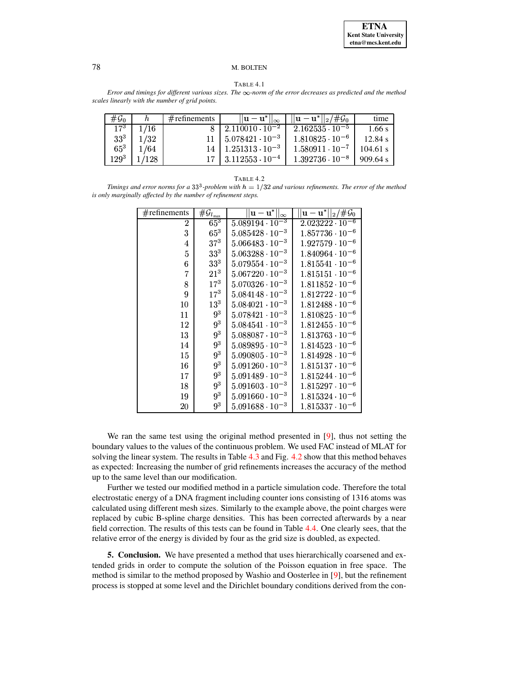#### TABLE 4.1

<span id="page-8-0"></span>Error and timings for different various sizes. The  $\infty$ -norm of the error decreases as predicted and the method scales linearly with the number of grid points.

| $#G_0$          |       | $#$ refinements | $  \mathbf{u}-\mathbf{u}^*  _{\infty}$ | $  \mathbf{u} - \mathbf{u}^*  _2 / \#\mathcal{G}_0$ | time       |
|-----------------|-------|-----------------|----------------------------------------|-----------------------------------------------------|------------|
| $17^{3}$        | 1/16  |                 | $2.110010 \cdot 10^{-2}$               | $2.162535 \cdot 10^{-5}$                            | $1.66$ s   |
| 33 <sup>3</sup> | 1/32  |                 | $5.078421 \cdot 10^{-3}$               | $1.810825 \cdot 10^{-6}$                            | 12.84 s    |
| $65^3$          | 1/64  | 14              | $1.251313 \cdot 10^{-3}$               | $1.580911 \cdot 10^{-7}$                            | $104.61$ s |
| 1293            | 1/128 | 17 I            | $3.112553 \cdot 10^{-4}$               | $1.392736 \cdot 10^{-8}$                            | 909.64 s   |

<span id="page-8-1"></span>Timings and error norms for a 33<sup>3</sup>-problem with  $h = 1/32$  and various refinements. The error of the method is only marginally affected by the number of refinement steps.

| $#$ refinements | $\# \mathcal{G}_{l_{\max}}$ | $  \mathbf{u} - \mathbf{u}^*  _{\infty}$ | $ \mathbf{u}-\mathbf{u}^*  _2/\#\mathcal{G}_0$ |
|-----------------|-----------------------------|------------------------------------------|------------------------------------------------|
| $\overline{2}$  | $65^3$                      | $5.089194 \cdot 10^{-3}$                 | $2.023222 \cdot 10^{-6}$                       |
| 3               | $65^3$                      | $5.085428 \cdot 10^{-3}$                 | $1.857736 \cdot 10^{-6}$                       |
| 4               | $37^{3}$                    | $5.066483 \cdot 10^{-3}$                 | $1.927579 \cdot 10^{-6}$                       |
| 5               | 33 <sup>3</sup>             | $5.063288 \cdot 10^{-3}$                 | $1.840964\cdot 10^{-6}$                        |
| 6               | 33 <sup>3</sup>             | $5.079554 \cdot 10^{-3}$                 | $1.815541 \cdot 10^{-6}$                       |
| 7               | $21^{3}$                    | $5.067220 \cdot 10^{-3}$                 | $1.815151 \cdot 10^{-6}$                       |
| 8               | $17^{3}$                    | $5.070326 \cdot 10^{-3}$                 | $1.811852 \cdot 10^{-6}$                       |
| 9               | $17^3$                      | $5.084148 \cdot 10^{-3}$                 | $1.812722 \cdot 10^{-6}$                       |
| $10\,$          | $13^{3}$                    | $5.084021 \cdot 10^{-3}$                 | $1.812488 \cdot 10^{-6}$                       |
| 11              | 9 <sup>3</sup>              | $5.078421 \cdot 10^{-3}$                 | $1.810825 \cdot 10^{-6}$                       |
| 12              | 9 <sup>3</sup>              | $5.084541 \cdot 10^{-3}$                 | $1.812455 \cdot 10^{-6}$                       |
| 13              | 9 <sup>3</sup>              | $5.088087 \cdot 10^{-3}$                 | $1.813763 \cdot 10^{-6}$                       |
| 14              | 9 <sup>3</sup>              | $5.089895 \cdot 10^{-3}$                 | $1.814523 \cdot 10^{-6}$                       |
| 15              | 9 <sup>3</sup>              | $5.090805 \cdot 10^{-3}$                 | $1.814928 \cdot 10^{-6}$                       |
| 16              | 9 <sup>3</sup>              | $5.091260 \cdot 10^{-3}$                 | $1.815137 \cdot 10^{-6}$                       |
| 17              | 9 <sup>3</sup>              | $5.091489 \cdot 10^{-3}$                 | $1.815244 \cdot 10^{-6}$                       |
| 18              | 9 <sup>3</sup>              | $5.091603 \cdot 10^{-3}$                 | $1.815297 \cdot 10^{-6}$                       |
| 19              | 9 <sup>3</sup>              | $5.091660 \cdot 10^{-3}$                 | $1.815324 \cdot 10^{-6}$                       |
| 20              | $9^3$                       | $5.091688 \cdot 10^{-3}$                 | $1.815337 \cdot 10^{-6}$                       |

We ran the same test using the original method presented in  $[9]$ , thus not setting the boundary values to the values of the continuous problem. We used FAC instead of MLAT for solving the linear system. The results in Table 4.3 and Fig. 4.2 show that this method behaves as expected: Increasing the number of grid refinements increases the accuracy of the method up to the same level than our modification.

Further we tested our modified method in a particle simulation code. Therefore the total electrostatic energy of a DNA fragment including counter ions consisting of 1316 atoms was calculated using different mesh sizes. Similarly to the example above, the point charges were replaced by cubic B-spline charge densities. This has been corrected afterwards by a near field correction. The results of this tests can be found in Table 4.4. One clearly sees, that the relative error of the energy is divided by four as the grid size is doubled, as expected.

**5. Conclusion.** We have presented a method that uses hierarchically coarsened and extended grids in order to compute the solution of the Poisson equation in free space. The method is similar to the method proposed by Washio and Oosterlee in [9], but the refinement process is stopped at some level and the Dirichlet boundary conditions derived from the con-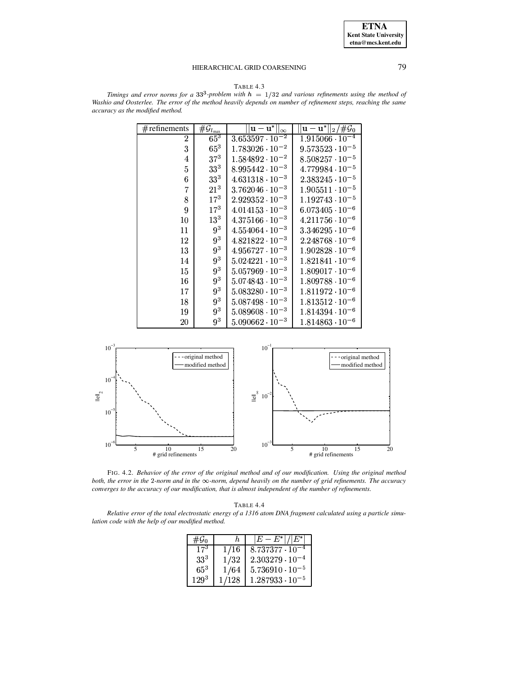**ETNA Kent State University**  $etna@mcs. kent.edu$ 

### HIERARCHICAL GRID COARSENING

TABLE 4.3

<span id="page-9-1"></span>Timings and error norms for a 33<sup>3</sup>-problem with  $h = 1/32$  and various refinements using the method of Washio and Oosterlee. The error of the method heavily depends on number of refinement steps, reaching the same accuracy as the modified method.

| $#$ refinements | $\overline{\#}\mathcal{G}_{l_{\max}}$ | $\overline{ \mathbf{u}} - \mathbf{u}^*  _\infty$ | $\ {\mathbf u}-{\mathbf u}^*\ _2/\#\overline{\mathcal G_0}$ |
|-----------------|---------------------------------------|--------------------------------------------------|-------------------------------------------------------------|
| $\overline{2}$  | $65^3$                                | $3.653597 \cdot 10^{-2}$                         | $1.915066 \cdot 10^{-4}$                                    |
| 3               | $65^3$                                | $1.783026 \cdot 10^{-2}$                         | $9.573523 \cdot 10^{-5}$                                    |
| 4               | $37^{3}$                              | $1.584892 \cdot 10^{-2}$                         | $8.508257 \cdot 10^{-5}$                                    |
| 5               | 33 <sup>3</sup>                       | $8.995442 \cdot 10^{-3}$                         | $4.779984 \cdot 10^{-5}$                                    |
| 6               | 33 <sup>3</sup>                       | $4.631318 \cdot 10^{-3}$                         | $2.383245 \cdot 10^{-5}$                                    |
| 7               | $21^{3}$                              | $3.762046 \cdot 10^{-3}$                         | $1.905511 \cdot 10^{-5}$                                    |
| 8               | $17^{3}$                              | $2.929352 \cdot 10^{-3}$                         | $1.192743 \cdot 10^{-5}$                                    |
| 9               | $17^{3}$                              | $4.014153 \cdot 10^{-3}$                         | $6.073405 \cdot 10^{-6}$                                    |
| 10              | $13^{3}$                              | $4.375166 \cdot 10^{-3}$                         | $4.211756 \cdot 10^{-6}$                                    |
| 11              | 9 <sup>3</sup>                        | $4.554064 \cdot 10^{-3}$                         | $3.346295 \cdot 10^{-6}$                                    |
| 12              | 9 <sup>3</sup>                        | $4.821822 \cdot 10^{-3}$                         | $2.248768 \cdot 10^{-6}$                                    |
| 13              | 9 <sup>3</sup>                        | $4.956727 \cdot 10^{-3}$                         | $1.902828 \cdot 10^{-6}$                                    |
| 14              | 9 <sup>3</sup>                        | $5.024221 \cdot 10^{-3}$                         | $1.821841 \cdot 10^{-6}$                                    |
| 15              | 9 <sup>3</sup>                        | $5.057969 \cdot 10^{-3}$                         | $1.809017 \cdot 10^{-6}$                                    |
| 16              | 9 <sup>3</sup>                        | $5.074843 \cdot 10^{-3}$                         | $1.809788 \cdot 10^{-6}$                                    |
| 17              | 9 <sup>3</sup>                        | $5.083280 \cdot 10^{-3}$                         | $1.811972 \cdot 10^{-6}$                                    |
| 18              | 9 <sup>3</sup>                        | $5.087498 \cdot 10^{-3}$                         | $1.813512 \cdot 10^{-6}$                                    |
| 19              | $9^3$                                 | $5.089608 \cdot 10^{-3}$                         | $1.814394 \cdot 10^{-6}$                                    |
| $^{20}$         | 9 <sup>3</sup>                        | $5.090662 \cdot 10^{-3}$                         | $1.814863\cdot 10^{-6}$                                     |



<span id="page-9-0"></span>FIG. 4.2. Behavior of the error of the original method and of our modification. Using the original method both, the error in the  $2$ -norm and in the  $\infty$ -norm, depend heavily on the number of grid refinements. The accuracy converges to the accuracy of our modification, that is almost independent of the number of refinements.

| TABLE |  |
|-------|--|
|-------|--|

<span id="page-9-2"></span>Relative error of the total electrostatic energy of a 1316 atom DNA fragment calculated using a particle simulation code with the help of our modified method.

| # $\mathcal{G}_0$ | h.    | $ E-E^* / E^* $          |
|-------------------|-------|--------------------------|
| $17^{3}$          | 1/16  | $8.737377 \cdot 10^{-4}$ |
| $33^{3}$          | 1/32  | $2.303279 \cdot 10^{-4}$ |
| $65^{3}$          | 1/64  | $5.736910 \cdot 10^{-5}$ |
| $129^{3}$         | 1/128 | $1.287933 \cdot 10^{-5}$ |